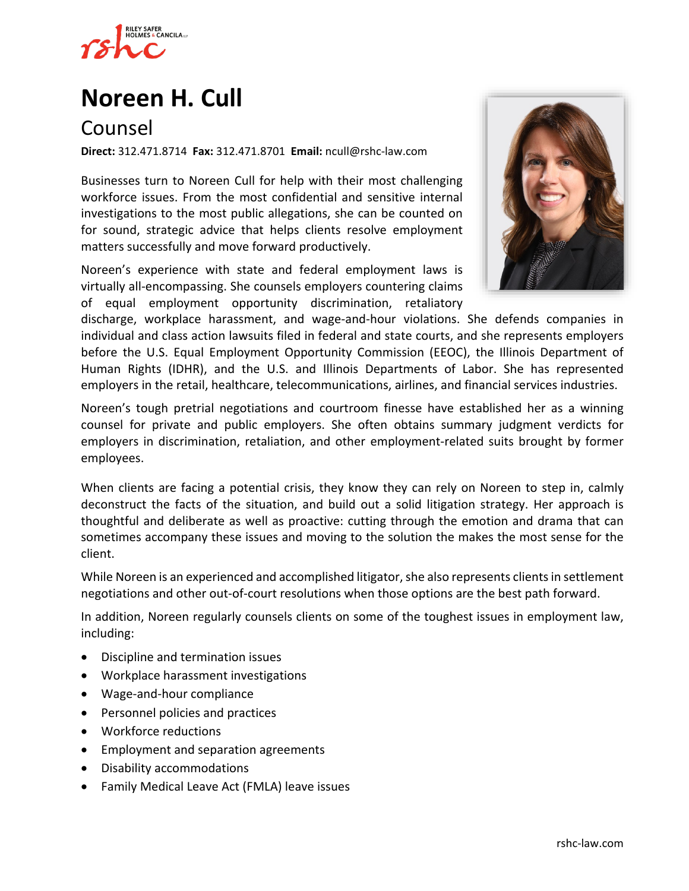

# **Noreen H. Cull**

## Counsel

**Direct:** 312.471.8714 **Fax:** 312.471.8701 **Email:** ncull@rshc-law.com

Businesses turn to Noreen Cull for help with their most challenging workforce issues. From the most confidential and sensitive internal investigations to the most public allegations, she can be counted on for sound, strategic advice that helps clients resolve employment matters successfully and move forward productively.

Noreen's experience with state and federal employment laws is virtually all-encompassing. She counsels employers countering claims of equal employment opportunity discrimination, retaliatory



discharge, workplace harassment, and wage-and-hour violations. She defends companies in individual and class action lawsuits filed in federal and state courts, and she represents employers before the U.S. Equal Employment Opportunity Commission (EEOC), the Illinois Department of Human Rights (IDHR), and the U.S. and Illinois Departments of Labor. She has represented employers in the retail, healthcare, telecommunications, airlines, and financial services industries.

Noreen's tough pretrial negotiations and courtroom finesse have established her as a winning counsel for private and public employers. She often obtains summary judgment verdicts for employers in discrimination, retaliation, and other employment-related suits brought by former employees.

When clients are facing a potential crisis, they know they can rely on Noreen to step in, calmly deconstruct the facts of the situation, and build out a solid litigation strategy. Her approach is thoughtful and deliberate as well as proactive: cutting through the emotion and drama that can sometimes accompany these issues and moving to the solution the makes the most sense for the client.

While Noreen is an experienced and accomplished litigator, she also represents clients in settlement negotiations and other out-of-court resolutions when those options are the best path forward.

In addition, Noreen regularly counsels clients on some of the toughest issues in employment law, including:

- Discipline and termination issues
- Workplace harassment investigations
- Wage-and-hour compliance
- Personnel policies and practices
- Workforce reductions
- Employment and separation agreements
- Disability accommodations
- Family Medical Leave Act (FMLA) leave issues